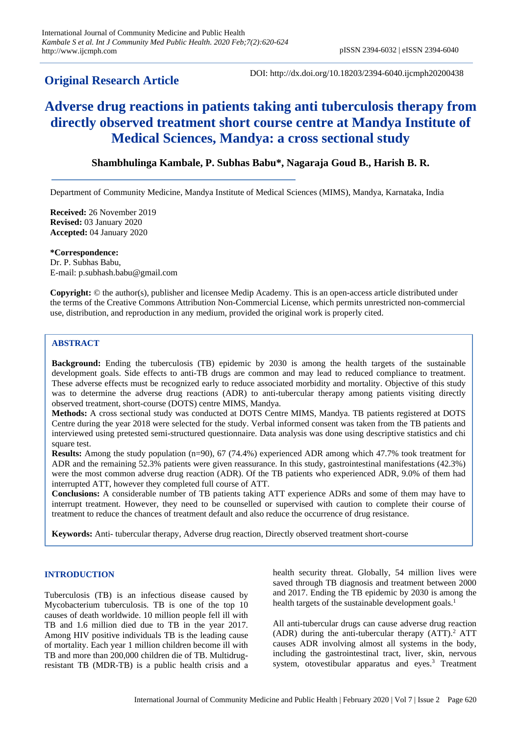## **Original Research Article**

DOI: http://dx.doi.org/10.18203/2394-6040.ijcmph20200438

# **Adverse drug reactions in patients taking anti tuberculosis therapy from directly observed treatment short course centre at Mandya Institute of Medical Sciences, Mandya: a cross sectional study**

### **Shambhulinga Kambale, P. Subhas Babu\*, Nagaraja Goud B., Harish B. R.**

Department of Community Medicine, Mandya Institute of Medical Sciences (MIMS), Mandya, Karnataka, India

**Received:** 26 November 2019 **Revised:** 03 January 2020 **Accepted:** 04 January 2020

**\*Correspondence:** Dr. P. Subhas Babu, E-mail: p.subhash.babu@gmail.com

**Copyright:** © the author(s), publisher and licensee Medip Academy. This is an open-access article distributed under the terms of the Creative Commons Attribution Non-Commercial License, which permits unrestricted non-commercial use, distribution, and reproduction in any medium, provided the original work is properly cited.

#### **ABSTRACT**

**Background:** Ending the tuberculosis (TB) epidemic by 2030 is among the health targets of the sustainable development goals. Side effects to anti-TB drugs are common and may lead to reduced compliance to treatment. These adverse effects must be recognized early to reduce associated morbidity and mortality. Objective of this study was to determine the adverse drug reactions (ADR) to anti-tubercular therapy among patients visiting directly observed treatment, short-course (DOTS) centre MIMS, Mandya.

**Methods:** A cross sectional study was conducted at DOTS Centre MIMS, Mandya. TB patients registered at DOTS Centre during the year 2018 were selected for the study. Verbal informed consent was taken from the TB patients and interviewed using pretested semi-structured questionnaire. Data analysis was done using descriptive statistics and chi square test.

**Results:** Among the study population (n=90), 67 (74.4%) experienced ADR among which 47.7% took treatment for ADR and the remaining 52.3% patients were given reassurance. In this study, gastrointestinal manifestations (42.3%) were the most common adverse drug reaction (ADR). Of the TB patients who experienced ADR, 9.0% of them had interrupted ATT, however they completed full course of ATT.

**Conclusions:** A considerable number of TB patients taking ATT experience ADRs and some of them may have to interrupt treatment. However, they need to be counselled or supervised with caution to complete their course of treatment to reduce the chances of treatment default and also reduce the occurrence of drug resistance.

**Keywords:** Anti- tubercular therapy, Adverse drug reaction, Directly observed treatment short-course

#### **INTRODUCTION**

Tuberculosis (TB) is an infectious disease caused by Mycobacterium tuberculosis. TB is one of the top 10 causes of death worldwide. 10 million people fell ill with TB and 1.6 million died due to TB in the year 2017. Among HIV positive individuals TB is the leading cause of mortality. Each year 1 million children become ill with TB and more than 200,000 children die of TB. Multidrugresistant TB (MDR-TB) is a public health crisis and a health security threat. Globally, 54 million lives were saved through TB diagnosis and treatment between 2000 and 2017. Ending the TB epidemic by 2030 is among the health targets of the sustainable development goals.<sup>1</sup>

All anti-tubercular drugs can cause adverse drug reaction (ADR) during the anti-tubercular therapy  $(ATT)$ <sup>2</sup> ATT causes ADR involving almost all systems in the body, including the gastrointestinal tract, liver, skin, nervous system, otovestibular apparatus and eyes.<sup>3</sup> Treatment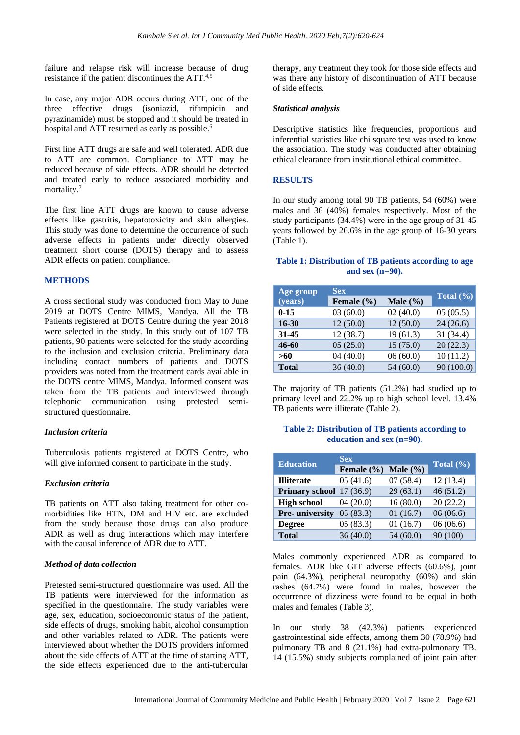failure and relapse risk will increase because of drug resistance if the patient discontinues the ATT.<sup>4,5</sup>

In case, any major ADR occurs during ATT, one of the three effective drugs (isoniazid, rifampicin and pyrazinamide) must be stopped and it should be treated in hospital and ATT resumed as early as possible.<sup>6</sup>

First line ATT drugs are safe and well tolerated. ADR due to ATT are common. Compliance to ATT may be reduced because of side effects. ADR should be detected and treated early to reduce associated morbidity and mortality.<sup>7</sup>

The first line ATT drugs are known to cause adverse effects like gastritis, hepatotoxicity and skin allergies. This study was done to determine the occurrence of such adverse effects in patients under directly observed treatment short course (DOTS) therapy and to assess ADR effects on patient compliance.

#### **METHODS**

A cross sectional study was conducted from May to June 2019 at DOTS Centre MIMS, Mandya. All the TB Patients registered at DOTS Centre during the year 2018 were selected in the study. In this study out of 107 TB patients, 90 patients were selected for the study according to the inclusion and exclusion criteria. Preliminary data including contact numbers of patients and DOTS providers was noted from the treatment cards available in the DOTS centre MIMS, Mandya. Informed consent was taken from the TB patients and interviewed through telephonic communication using pretested semistructured questionnaire.

#### *Inclusion criteria*

Tuberculosis patients registered at DOTS Centre, who will give informed consent to participate in the study.

#### *Exclusion criteria*

TB patients on ATT also taking treatment for other comorbidities like HTN, DM and HIV etc. are excluded from the study because those drugs can also produce ADR as well as drug interactions which may interfere with the causal inference of ADR due to ATT.

#### *Method of data collection*

Pretested semi-structured questionnaire was used. All the TB patients were interviewed for the information as specified in the questionnaire. The study variables were age, sex, education, socioeconomic status of the patient, side effects of drugs, smoking habit, alcohol consumption and other variables related to ADR. The patients were interviewed about whether the DOTS providers informed about the side effects of ATT at the time of starting ATT, the side effects experienced due to the anti-tubercular

therapy, any treatment they took for those side effects and was there any history of discontinuation of ATT because of side effects.

#### *Statistical analysis*

Descriptive statistics like frequencies, proportions and inferential statistics like chi square test was used to know the association. The study was conducted after obtaining ethical clearance from institutional ethical committee.

#### **RESULTS**

In our study among total 90 TB patients, 54 (60%) were males and 36 (40%) females respectively. Most of the study participants (34.4%) were in the age group of 31-45 years followed by 26.6% in the age group of 16-30 years (Table 1).

#### **Table 1: Distribution of TB patients according to age and sex (n=90).**

| Age group    | <b>Sex</b>                 |          | Total $(\sqrt[6]{\bullet})$ |  |
|--------------|----------------------------|----------|-----------------------------|--|
| (years)      | Male $(\% )$<br>Female (%) |          |                             |  |
| $0 - 15$     | 03(60.0)                   | 02(40.0) | 05(05.5)                    |  |
| $16 - 30$    | 12(50.0)                   | 12(50.0) | 24(26.6)                    |  |
| $31 - 45$    | 12(38.7)                   | 19(61.3) | 31 (34.4)                   |  |
| 46-60        | 05(25.0)                   | 15(75.0) | 20(22.3)                    |  |
| >60          | 04(40.0)                   | 06(60.0) | 10(11.2)                    |  |
| <b>Total</b> | 36(40.0)                   | 54(60.0) | 90 (100.0)                  |  |

The majority of TB patients (51.2%) had studied up to primary level and 22.2% up to high school level. 13.4% TB patients were illiterate (Table 2).

#### **Table 2: Distribution of TB patients according to education and sex (n=90).**

| <b>Education</b>         | <b>Sex</b>                 |          | Total $(\% )$ |  |
|--------------------------|----------------------------|----------|---------------|--|
|                          | Male $(\% )$<br>Female (%) |          |               |  |
| <b>Illiterate</b>        | 05(41.6)                   | 07(58.4) | 12(13.4)      |  |
| Primary school 17 (36.9) |                            | 29(63.1) | 46(51.2)      |  |
| <b>High school</b>       | 04(20.0)                   | 16(80.0) | 20(22.2)      |  |
| Pre- university          | 05(83.3)                   | 01(16.7) | 06(06.6)      |  |
| <b>Degree</b>            | 05(83.3)                   | 01(16.7) | 06(06.6)      |  |
| <b>Total</b>             | 36(40.0)                   | 54(60.0) | 90 (100)      |  |

Males commonly experienced ADR as compared to females. ADR like GIT adverse effects (60.6%), joint pain (64.3%), peripheral neuropathy (60%) and skin rashes (64.7%) were found in males, however the occurrence of dizziness were found to be equal in both males and females (Table 3).

In our study 38 (42.3%) patients experienced gastrointestinal side effects, among them 30 (78.9%) had pulmonary TB and 8 (21.1%) had extra-pulmonary TB. 14 (15.5%) study subjects complained of joint pain after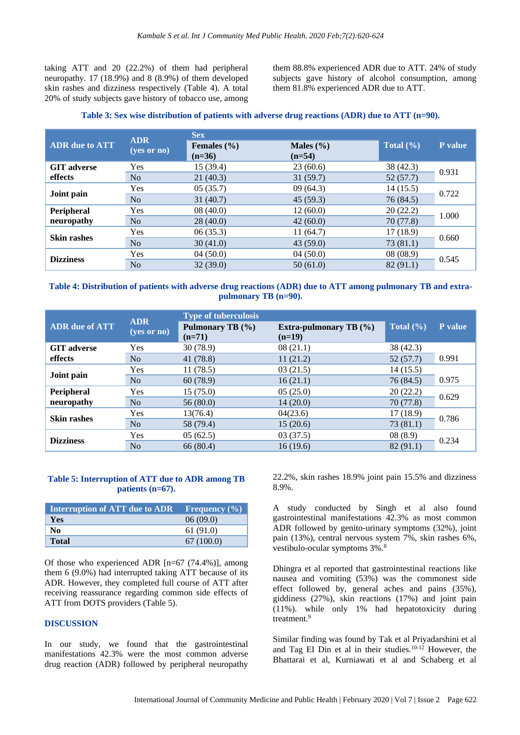taking ATT and 20 (22.2%) of them had peripheral neuropathy. 17 (18.9%) and 8 (8.9%) of them developed skin rashes and dizziness respectively (Table 4). A total 20% of study subjects gave history of tobacco use, among them 88.8% experienced ADR due to ATT. 24% of study subjects gave history of alcohol consumption, among them 81.8% experienced ADR due to ATT.

#### **Table 3: Sex wise distribution of patients with adverse drug reactions (ADR) due to ATT (n=90).**

|                       | <b>ADR</b><br>$(yes$ or no) | <b>Sex</b>                  |                           |               |         |
|-----------------------|-----------------------------|-----------------------------|---------------------------|---------------|---------|
| <b>ADR</b> due to ATT |                             | Females $(\% )$<br>$(n=36)$ | Males $(\% )$<br>$(n=54)$ | Total $(\% )$ | P value |
| <b>GIT</b> adverse    | <b>Yes</b>                  | 15(39.4)                    | 23(60.6)                  | 38 (42.3)     | 0.931   |
| effects               | No                          | 21(40.3)                    | 31(59.7)                  | 52(57.7)      |         |
| Joint pain            | Yes                         | 05(35.7)                    | 09(64.3)                  | 14(15.5)      | 0.722   |
|                       | No                          | 31(40.7)                    | 45(59.3)                  | 76 (84.5)     |         |
| Peripheral            | Yes                         | 08(40.0)                    | 12(60.0)                  | 20(22.2)      | 1.000   |
| neuropathy            | No                          | 28(40.0)                    | 42(60.0)                  | 70(77.8)      |         |
| <b>Skin rashes</b>    | Yes                         | 06(35.3)                    | 11(64.7)                  | 17(18.9)      | 0.660   |
|                       | No                          | 30(41.0)                    | 43(59.0)                  | 73(81.1)      |         |
| <b>Dizziness</b>      | <b>Yes</b>                  | 04(50.0)                    | 04(50.0)                  | 08(08.9)      |         |
|                       | N <sub>o</sub>              | 32(39.0)                    | 50(61.0)                  | 82(91.1)      | 0.545   |

#### **Table 4: Distribution of patients with adverse drug reactions (ADR) due to ATT among pulmonary TB and extrapulmonary TB (n=90).**

|                       | <b>ADR</b>             | <b>Type of tuberculosis</b>  |                                           |               |         |
|-----------------------|------------------------|------------------------------|-------------------------------------------|---------------|---------|
| <b>ADR</b> due of ATT | $(yes \text{ or } no)$ | Pulmonary TB (%)<br>$(n=71)$ | <b>Extra-pulmonary TB</b> (%)<br>$(n=19)$ | Total $(\% )$ | P value |
| <b>GIT</b> adverse    | <b>Yes</b>             | 30(78.9)                     | 08(21.1)                                  | 38 (42.3)     |         |
| effects               | N <sub>o</sub>         | 41 (78.8)                    | 11(21.2)                                  | 52(57.7)      | 0.991   |
| Joint pain            | Yes                    | 11(78.5)                     | 03(21.5)                                  | 14(15.5)      |         |
|                       | N <sub>o</sub>         | 60(78.9)                     | 16(21.1)                                  | 76 (84.5)     | 0.975   |
| Peripheral            | Yes                    | 15(75.0)                     | 05(25.0)                                  | 20(22.2)      | 0.629   |
| neuropathy            | N <sub>o</sub>         | 56(80.0)                     | 14(20.0)                                  | 70 (77.8)     |         |
| <b>Skin rashes</b>    | Yes                    | 13(76.4)                     | 04(23.6)                                  | 17(18.9)      | 0.786   |
|                       | N <sub>o</sub>         | 58 (79.4)                    | 15(20.6)                                  | 73(81.1)      |         |
| <b>Dizziness</b>      | Yes                    | 05(62.5)                     | 03(37.5)                                  | 08(8.9)       | 0.234   |
|                       | N <sub>o</sub>         | 66 (80.4)                    | 16(19.6)                                  | 82 (91.1)     |         |

#### **Table 5: Interruption of ATT due to ADR among TB patients (n=67).**

| Interruption of ATT due to ADR Frequency $(\%)$ |           |
|-------------------------------------------------|-----------|
| <b>Yes</b>                                      | 06(09.0)  |
| No                                              | 61(91.0)  |
| <b>Total</b>                                    | 67(100.0) |

Of those who experienced ADR [n=67 (74.4%)], among them 6 (9.0%) had interrupted taking ATT because of its ADR. However, they completed full course of ATT after receiving reassurance regarding common side effects of ATT from DOTS providers (Table 5).

#### **DISCUSSION**

In our study, we found that the gastrointestinal manifestations 42.3% were the most common adverse drug reaction (ADR) followed by peripheral neuropathy 22.2%, skin rashes 18.9% joint pain 15.5% and dizziness 8.9%.

A study conducted by Singh et al also found gastrointestinal manifestations 42.3% as most common ADR followed by genito-urinary symptoms (32%), joint pain (13%), central nervous system 7%, skin rashes 6%, vestibulo-ocular symptoms 3%.<sup>8</sup>

Dhingra et al reported that gastrointestinal reactions like nausea and vomiting (53%) was the commonest side effect followed by, general aches and pains (35%), giddiness (27%), skin reactions (17%) and joint pain (11%). while only 1% had hepatotoxicity during treatment.<sup>9</sup>

Similar finding was found by Tak et al Priyadarshini et al and Tag EI Din et al in their studies.10-12 However, the Bhattarai et al, Kurniawati et al and Schaberg et al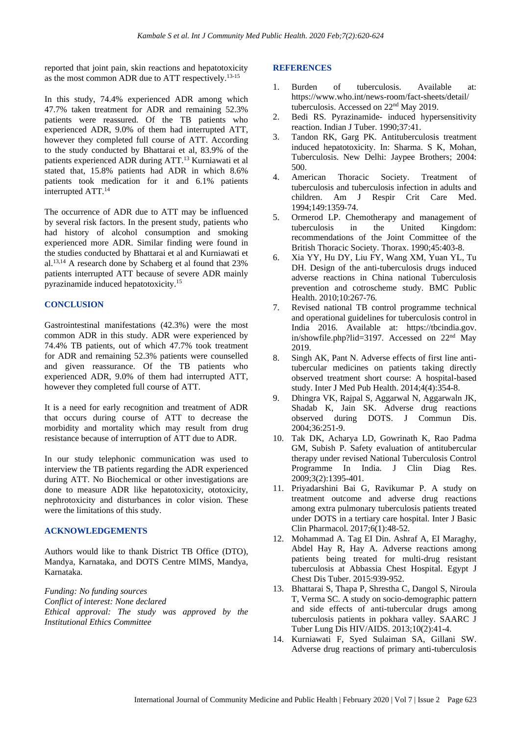reported that joint pain, skin reactions and hepatotoxicity as the most common ADR due to ATT respectively.13-15

In this study, 74.4% experienced ADR among which 47.7% taken treatment for ADR and remaining 52.3% patients were reassured. Of the TB patients who experienced ADR, 9.0% of them had interrupted ATT, however they completed full course of ATT. According to the study conducted by Bhattarai et al, 83.9% of the patients experienced ADR during ATT. <sup>13</sup> Kurniawati et al stated that, 15.8% patients had ADR in which 8.6% patients took medication for it and 6.1% patients interrupted ATT.<sup>14</sup>

The occurrence of ADR due to ATT may be influenced by several risk factors. In the present study, patients who had history of alcohol consumption and smoking experienced more ADR. Similar finding were found in the studies conducted by Bhattarai et al and Kurniawati et al.13,14 A research done by Schaberg et al found that 23% patients interrupted ATT because of severe ADR mainly pyrazinamide induced hepatotoxicity.<sup>15</sup>

#### **CONCLUSION**

Gastrointestinal manifestations (42.3%) were the most common ADR in this study. ADR were experienced by 74.4% TB patients, out of which 47.7% took treatment for ADR and remaining 52.3% patients were counselled and given reassurance. Of the TB patients who experienced ADR, 9.0% of them had interrupted ATT, however they completed full course of ATT.

It is a need for early recognition and treatment of ADR that occurs during course of ATT to decrease the morbidity and mortality which may result from drug resistance because of interruption of ATT due to ADR.

In our study telephonic communication was used to interview the TB patients regarding the ADR experienced during ATT. No Biochemical or other investigations are done to measure ADR like hepatotoxicity, ototoxicity, nephrotoxicity and disturbances in color vision. These were the limitations of this study.

#### **ACKNOWLEDGEMENTS**

Authors would like to thank District TB Office (DTO), Mandya, Karnataka, and DOTS Centre MIMS, Mandya, Karnataka.

*Funding: No funding sources Conflict of interest: None declared Ethical approval: The study was approved by the Institutional Ethics Committee*

#### **REFERENCES**

- 1. Burden of tuberculosis. Available at: https://www.who.int/news-room/fact-sheets/detail/ tuberculosis. Accessed on 22nd May 2019.
- 2. Bedi RS. Pyrazinamide- induced hypersensitivity reaction. Indian J Tuber. 1990;37:41.
- 3. Tandon RK, Garg PK. Antituberculosis treatment induced hepatotoxicity. In: Sharma. S K, Mohan, Tuberculosis. New Delhi: Jaypee Brothers; 2004: 500.
- 4. American Thoracic Society. Treatment of tuberculosis and tuberculosis infection in adults and children. Am J Respir Crit Care Med. 1994;149:1359-74.
- 5. Ormerod LP. Chemotherapy and management of tuberculosis in the United Kingdom: recommendations of the Joint Committee of the British Thoracic Society. Thorax. 1990;45:403-8.
- 6. Xia YY, Hu DY, Liu FY, Wang XM, Yuan YL, Tu DH. Design of the anti-tuberculosis drugs induced adverse reactions in China national Tuberculosis prevention and cotroscheme study. BMC Public Health. 2010;10:267-76.
- 7. Revised national TB control programme technical and operational guidelines for tuberculosis control in India 2016. Available at: https://tbcindia.gov. in/showfile.php?lid=3197. Accessed on 22nd May 2019.
- 8. Singh AK, Pant N. Adverse effects of first line antitubercular medicines on patients taking directly observed treatment short course: A hospital-based study. Inter J Med Pub Health. 2014;4(4):354-8.
- 9. Dhingra VK, Rajpal S, Aggarwal N, Aggarwaln JK, Shadab K, Jain SK. Adverse drug reactions observed during DOTS. J Commun Dis. 2004;36:251-9.
- 10. Tak DK, Acharya LD, Gowrinath K, Rao Padma GM, Subish P. Safety evaluation of antitubercular therapy under revised National Tuberculosis Control Programme In India. J Clin Diag Res. 2009;3(2):1395-401.
- 11. Priyadarshini Bai G, Ravikumar P. A study on treatment outcome and adverse drug reactions among extra pulmonary tuberculosis patients treated under DOTS in a tertiary care hospital. Inter J Basic Clin Pharmacol. 2017;6(1):48-52.
- 12. Mohammad A. Tag EI Din. Ashraf A, EI Maraghy, Abdel Hay R, Hay A. Adverse reactions among patients being treated for multi-drug resistant tuberculosis at Abbassia Chest Hospital. Egypt J Chest Dis Tuber. 2015:939-952.
- 13. Bhattarai S, Thapa P, Shrestha C, Dangol S, Niroula T, Verma SC. A study on socio-demographic pattern and side effects of anti-tubercular drugs among tuberculosis patients in pokhara valley. SAARC J Tuber Lung Dis HIV/AIDS. 2013;10(2):41-4.
- 14. Kurniawati F, Syed Sulaiman SA, Gillani SW. Adverse drug reactions of primary anti-tuberculosis